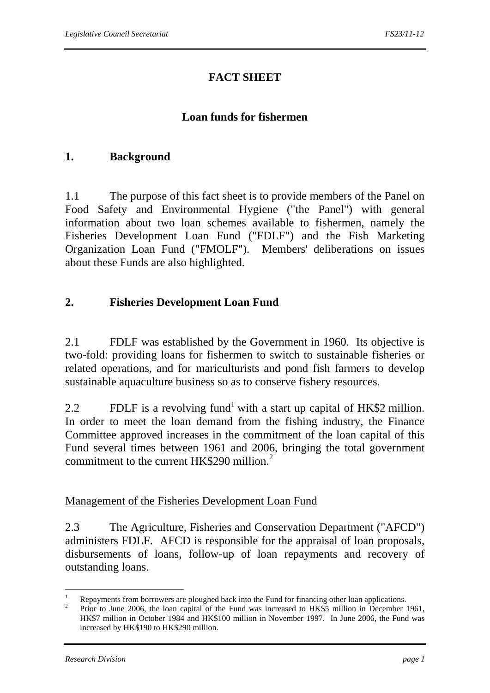# **FACT SHEET**

## **Loan funds for fishermen**

## **1. Background**

1.1 The purpose of this fact sheet is to provide members of the Panel on Food Safety and Environmental Hygiene ("the Panel") with general information about two loan schemes available to fishermen, namely the Fisheries Development Loan Fund ("FDLF") and the Fish Marketing Organization Loan Fund ("FMOLF"). Members' deliberations on issues about these Funds are also highlighted.

## **2. Fisheries Development Loan Fund**

2.1 FDLF was established by the Government in 1960. Its objective is two-fold: providing loans for fishermen to switch to sustainable fisheries or related operations, and for mariculturists and pond fish farmers to develop sustainable aquaculture business so as to conserve fishery resources.

2.2 FDLF is a revolving fund<sup>1</sup> with a start up capital of HK\$2 million. In order to meet the loan demand from the fishing industry, the Finance Committee approved increases in the commitment of the loan capital of this Fund several times between 1961 and 2006, bringing the total government commitment to the current HK\$290 million. $<sup>2</sup>$ </sup>

#### Management of the Fisheries Development Loan Fund

2.3 The Agriculture, Fisheries and Conservation Department ("AFCD") administers FDLF. AFCD is responsible for the appraisal of loan proposals, disbursements of loans, follow-up of loan repayments and recovery of outstanding loans.

 $\frac{1}{1}$ Repayments from borrowers are ploughed back into the Fund for financing other loan applications.

<sup>2</sup> Prior to June 2006, the loan capital of the Fund was increased to HK\$5 million in December 1961, HK\$7 million in October 1984 and HK\$100 million in November 1997. In June 2006, the Fund was increased by HK\$190 to HK\$290 million.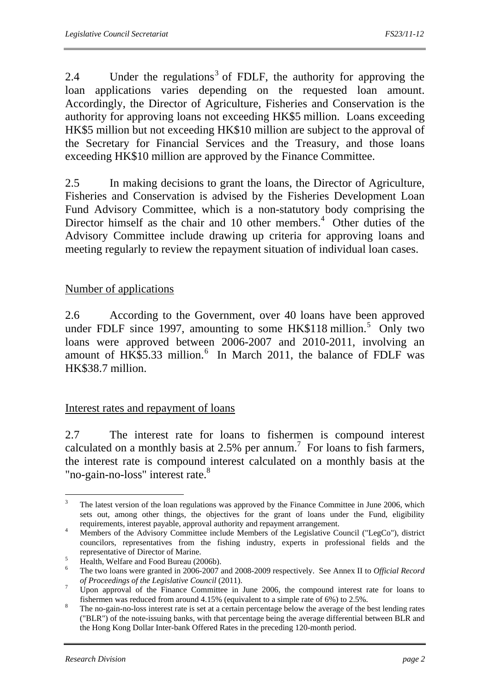2.4 Under the regulations<sup>3</sup> of FDLF, the authority for approving the loan applications varies depending on the requested loan amount. Accordingly, the Director of Agriculture, Fisheries and Conservation is the authority for approving loans not exceeding HK\$5 million. Loans exceeding HK\$5 million but not exceeding HK\$10 million are subject to the approval of the Secretary for Financial Services and the Treasury, and those loans exceeding HK\$10 million are approved by the Finance Committee.

2.5 In making decisions to grant the loans, the Director of Agriculture, Fisheries and Conservation is advised by the Fisheries Development Loan Fund Advisory Committee, which is a non-statutory body comprising the Director himself as the chair and 10 other members.<sup>4</sup> Other duties of the Advisory Committee include drawing up criteria for approving loans and meeting regularly to review the repayment situation of individual loan cases.

## Number of applications

2.6 According to the Government, over 40 loans have been approved under FDLF since 1997, amounting to some  $HK$118$  million.<sup>5</sup> Only two loans were approved between 2006-2007 and 2010-2011, involving an amount of  $HK$5.33$  million.<sup>6</sup> In March 2011, the balance of FDLF was HK\$38.7 million.

#### Interest rates and repayment of loans

2.7 The interest rate for loans to fishermen is compound interest calculated on a monthly basis at 2.5% per annum.<sup>7</sup> For loans to fish farmers, the interest rate is compound interest calculated on a monthly basis at the "no-gain-no-loss" interest rate.<sup>8</sup>

 $\frac{1}{3}$  The latest version of the loan regulations was approved by the Finance Committee in June 2006, which sets out, among other things, the objectives for the grant of loans under the Fund, eligibility requirements, interest payable, approval authority and repayment arrangement. 4

Members of the Advisory Committee include Members of the Legislative Council ("LegCo"), district councilors, representatives from the fishing industry, experts in professional fields and the representative of Director of Marine.

Health, Welfare and Food Bureau (2006b).

The two loans were granted in 2006-2007 and 2008-2009 respectively. See Annex II to *Official Record of Proceedings of the Legislative Council* (2011). 7

Upon approval of the Finance Committee in June 2006, the compound interest rate for loans to fishermen was reduced from around 4.15% (equivalent to a simple rate of 6%) to 2.5%. 8

The no-gain-no-loss interest rate is set at a certain percentage below the average of the best lending rates ("BLR") of the note-issuing banks, with that percentage being the average differential between BLR and the Hong Kong Dollar Inter-bank Offered Rates in the preceding 120-month period.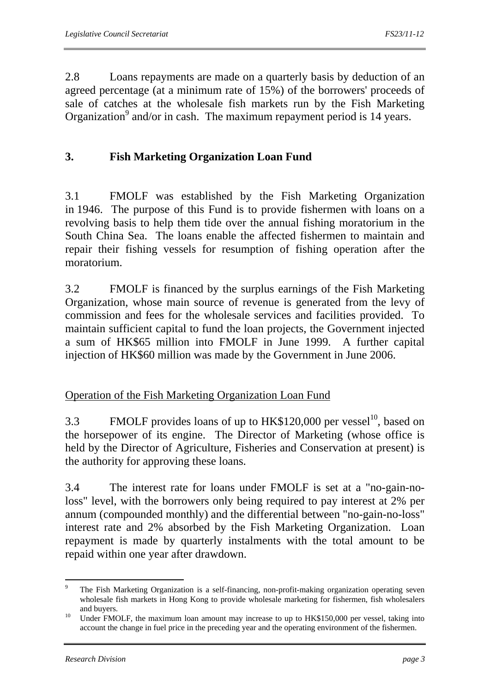2.8 Loans repayments are made on a quarterly basis by deduction of an agreed percentage (at a minimum rate of 15%) of the borrowers' proceeds of sale of catches at the wholesale fish markets run by the Fish Marketing Organization<sup>9</sup> and/or in cash. The maximum repayment period is 14 years.

## **3. Fish Marketing Organization Loan Fund**

3.1 FMOLF was established by the Fish Marketing Organization in 1946. The purpose of this Fund is to provide fishermen with loans on a revolving basis to help them tide over the annual fishing moratorium in the South China Sea. The loans enable the affected fishermen to maintain and repair their fishing vessels for resumption of fishing operation after the moratorium.

3.2 FMOLF is financed by the surplus earnings of the Fish Marketing Organization, whose main source of revenue is generated from the levy of commission and fees for the wholesale services and facilities provided. To maintain sufficient capital to fund the loan projects, the Government injected a sum of HK\$65 million into FMOLF in June 1999. A further capital injection of HK\$60 million was made by the Government in June 2006.

## Operation of the Fish Marketing Organization Loan Fund

3.3 FMOLF provides loans of up to  $HK$120,000$  per vessel<sup>10</sup>, based on the horsepower of its engine. The Director of Marketing (whose office is held by the Director of Agriculture, Fisheries and Conservation at present) is the authority for approving these loans.

3.4 The interest rate for loans under FMOLF is set at a "no-gain-noloss" level, with the borrowers only being required to pay interest at 2% per annum (compounded monthly) and the differential between "no-gain-no-loss" interest rate and 2% absorbed by the Fish Marketing Organization. Loan repayment is made by quarterly instalments with the total amount to be repaid within one year after drawdown.

l 9 The Fish Marketing Organization is a self-financing, non-profit-making organization operating seven wholesale fish markets in Hong Kong to provide wholesale marketing for fishermen, fish wholesalers

and buyers.<br><sup>10</sup> Under FMOLF, the maximum loan amount may increase to up to HK\$150,000 per vessel, taking into account the change in fuel price in the preceding year and the operating environment of the fishermen.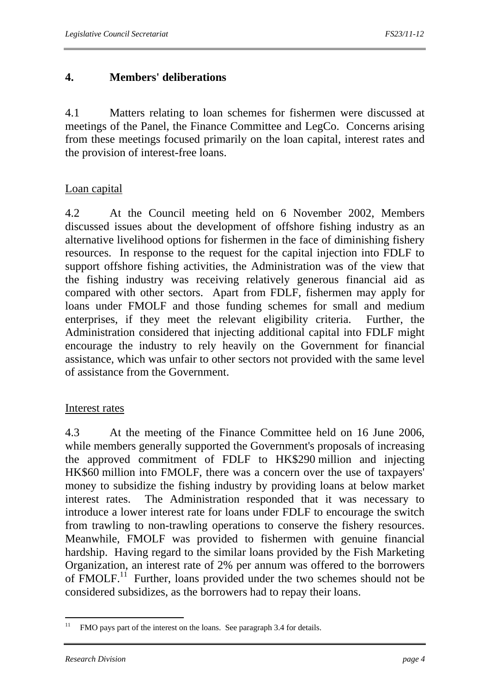## **4. Members' deliberations**

4.1 Matters relating to loan schemes for fishermen were discussed at meetings of the Panel, the Finance Committee and LegCo. Concerns arising from these meetings focused primarily on the loan capital, interest rates and the provision of interest-free loans.

## Loan capital

4.2 At the Council meeting held on 6 November 2002, Members discussed issues about the development of offshore fishing industry as an alternative livelihood options for fishermen in the face of diminishing fishery resources. In response to the request for the capital injection into FDLF to support offshore fishing activities, the Administration was of the view that the fishing industry was receiving relatively generous financial aid as compared with other sectors. Apart from FDLF, fishermen may apply for loans under FMOLF and those funding schemes for small and medium enterprises, if they meet the relevant eligibility criteria. Further, the Administration considered that injecting additional capital into FDLF might encourage the industry to rely heavily on the Government for financial assistance, which was unfair to other sectors not provided with the same level of assistance from the Government.

## Interest rates

4.3 At the meeting of the Finance Committee held on 16 June 2006, while members generally supported the Government's proposals of increasing the approved commitment of FDLF to HK\$290 million and injecting HK\$60 million into FMOLF, there was a concern over the use of taxpayers' money to subsidize the fishing industry by providing loans at below market interest rates. The Administration responded that it was necessary to introduce a lower interest rate for loans under FDLF to encourage the switch from trawling to non-trawling operations to conserve the fishery resources. Meanwhile, FMOLF was provided to fishermen with genuine financial hardship. Having regard to the similar loans provided by the Fish Marketing Organization, an interest rate of 2% per annum was offered to the borrowers of  $\text{FMOLF.}^{11}$  Further, loans provided under the two schemes should not be considered subsidizes, as the borrowers had to repay their loans.

 $11$ FMO pays part of the interest on the loans. See paragraph 3.4 for details.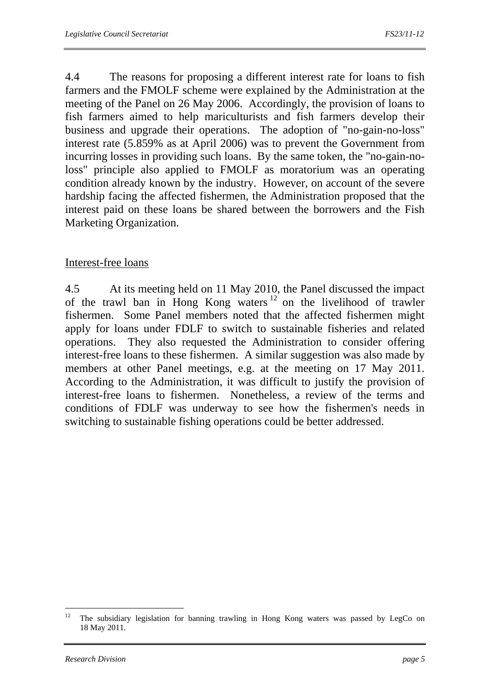4.4 The reasons for proposing a different interest rate for loans to fish farmers and the FMOLF scheme were explained by the Administration at the meeting of the Panel on 26 May 2006. Accordingly, the provision of loans to fish farmers aimed to help mariculturists and fish farmers develop their business and upgrade their operations. The adoption of "no-gain-no-loss" interest rate (5.859% as at April 2006) was to prevent the Government from incurring losses in providing such loans. By the same token, the "no-gain-noloss" principle also applied to FMOLF as moratorium was an operating condition already known by the industry. However, on account of the severe hardship facing the affected fishermen, the Administration proposed that the interest paid on these loans be shared between the borrowers and the Fish Marketing Organization.

#### Interest-free loans

4.5 At its meeting held on 11 May 2010, the Panel discussed the impact of the trawl ban in Hong Kong waters  $12$  on the livelihood of trawler fishermen. Some Panel members noted that the affected fishermen might apply for loans under FDLF to switch to sustainable fisheries and related operations. They also requested the Administration to consider offering interest-free loans to these fishermen. A similar suggestion was also made by members at other Panel meetings, e.g. at the meeting on 17 May 2011. According to the Administration, it was difficult to justify the provision of interest-free loans to fishermen. Nonetheless, a review of the terms and conditions of FDLF was underway to see how the fishermen's needs in switching to sustainable fishing operations could be better addressed.

 $12<sup>12</sup>$ 12 The subsidiary legislation for banning trawling in Hong Kong waters was passed by LegCo on 18 May 2011.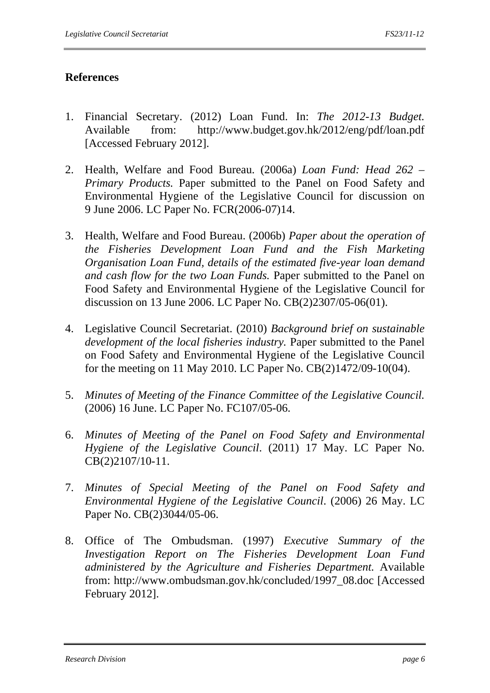## **References**

- 1. Financial Secretary. (2012) Loan Fund. In: *The 2012-13 Budget.* Available from: http://www.budget.gov.hk/2012/eng/pdf/loan.pdf [Accessed February 2012].
- 2. Health, Welfare and Food Bureau. (2006a) *Loan Fund: Head 262 Primary Products.* Paper submitted to the Panel on Food Safety and Environmental Hygiene of the Legislative Council for discussion on 9 June 2006. LC Paper No. FCR(2006-07)14.
- 3. Health, Welfare and Food Bureau. (2006b) *Paper about the operation of the Fisheries Development Loan Fund and the Fish Marketing Organisation Loan Fund, details of the estimated five-year loan demand and cash flow for the two Loan Funds.* Paper submitted to the Panel on Food Safety and Environmental Hygiene of the Legislative Council for discussion on 13 June 2006. LC Paper No. CB(2)2307/05-06(01).
- 4. Legislative Council Secretariat. (2010) *Background brief on sustainable development of the local fisheries industry.* Paper submitted to the Panel on Food Safety and Environmental Hygiene of the Legislative Council for the meeting on 11 May 2010. LC Paper No. CB(2)1472/09-10(04).
- 5. *Minutes of Meeting of the Finance Committee of the Legislative Council.* (2006) 16 June. LC Paper No. FC107/05-06.
- 6. *Minutes of Meeting of the Panel on Food Safety and Environmental Hygiene of the Legislative Council*. (2011) 17 May. LC Paper No. CB(2)2107/10-11.
- 7. *Minutes of Special Meeting of the Panel on Food Safety and Environmental Hygiene of the Legislative Council*. (2006) 26 May. LC Paper No. CB(2)3044/05-06.
- 8. Office of The Ombudsman. (1997) *Executive Summary of the Investigation Report on The Fisheries Development Loan Fund administered by the Agriculture and Fisheries Department.* Available from: http://www.ombudsman.gov.hk/concluded/1997\_08.doc [Accessed February 2012].